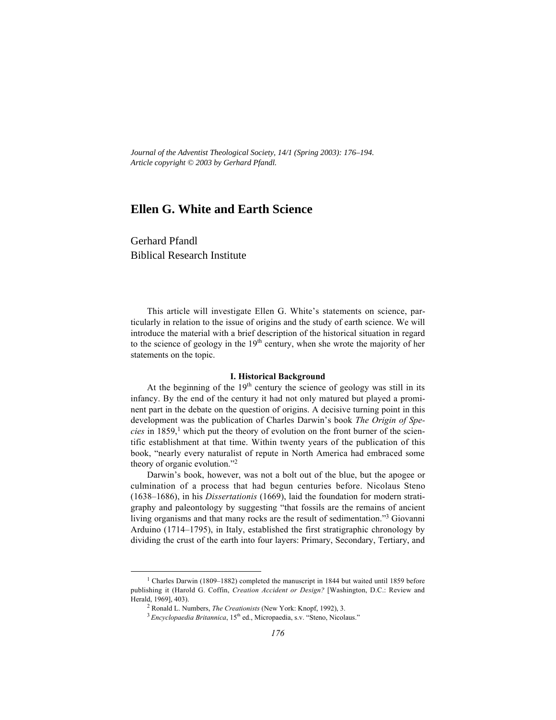*Journal of the Adventist Theological Society, 14/1 (Spring 2003): 176–194. Article copyright © 2003 by Gerhard Pfandl.*

# **Ellen G. White and Earth Science**

Gerhard Pfandl Biblical Research Institute

This article will investigate Ellen G. White's statements on science, particularly in relation to the issue of origins and the study of earth science. We will introduce the material with a brief description of the historical situation in regard to the science of geology in the  $19<sup>th</sup>$  century, when she wrote the majority of her statements on the topic.

### **I. Historical Background**

At the beginning of the  $19<sup>th</sup>$  century the science of geology was still in its infancy. By the end of the century it had not only matured but played a prominent part in the debate on the question of origins. A decisive turning point in this development was the publication of Charles Darwin's book *The Origin of Species* in 1859,<sup>1</sup> which put the theory of evolution on the front burner of the scientific establishment at that time. Within twenty years of the publication of this book, "nearly every naturalist of repute in North America had embraced some theory of organic evolution."2

Darwin's book, however, was not a bolt out of the blue, but the apogee or culmination of a process that had begun centuries before. Nicolaus Steno (1638–1686), in his *Dissertationis* (1669), laid the foundation for modern stratigraphy and paleontology by suggesting "that fossils are the remains of ancient living organisms and that many rocks are the result of sedimentation."3 Giovanni Arduino (1714–1795), in Italy, established the first stratigraphic chronology by dividing the crust of the earth into four layers: Primary, Secondary, Tertiary, and

 $\frac{1}{1}$ <sup>1</sup> Charles Darwin (1809–1882) completed the manuscript in 1844 but waited until 1859 before publishing it (Harold G. Coffin, *Creation Accident or Design?* [Washington, D.C.: Review and Herald, 1969], 403).

<sup>2</sup> Ronald L. Numbers, *The Creationists* (New York: Knopf, 1992), 3.

<sup>&</sup>lt;sup>3</sup> Encyclopaedia Britannica, 15<sup>th</sup> ed., Micropaedia, s.v. "Steno, Nicolaus."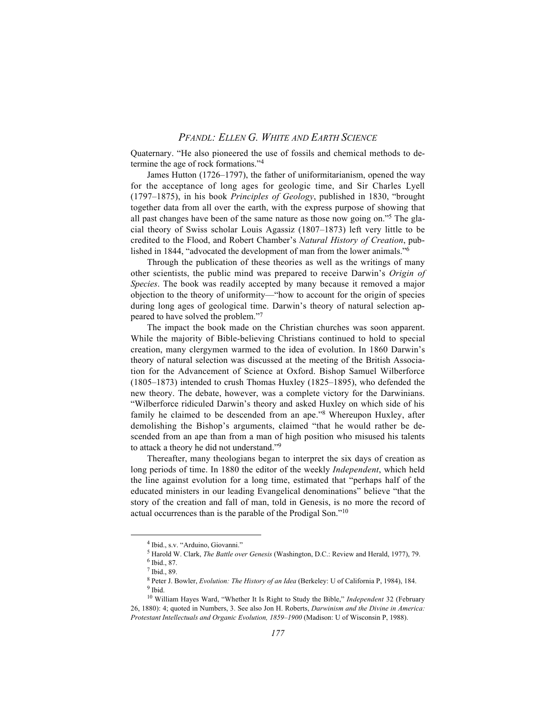Quaternary. "He also pioneered the use of fossils and chemical methods to determine the age of rock formations."4

James Hutton (1726–1797), the father of uniformitarianism, opened the way for the acceptance of long ages for geologic time, and Sir Charles Lyell (1797–1875), in his book *Principles of Geology*, published in 1830, "brought together data from all over the earth, with the express purpose of showing that all past changes have been of the same nature as those now going on."5 The glacial theory of Swiss scholar Louis Agassiz (1807–1873) left very little to be credited to the Flood, and Robert Chamber's *Natural History of Creation*, published in 1844, "advocated the development of man from the lower animals."6

Through the publication of these theories as well as the writings of many other scientists, the public mind was prepared to receive Darwin's *Origin of Species*. The book was readily accepted by many because it removed a major objection to the theory of uniformity—"how to account for the origin of species during long ages of geological time. Darwin's theory of natural selection appeared to have solved the problem."7

The impact the book made on the Christian churches was soon apparent. While the majority of Bible-believing Christians continued to hold to special creation, many clergymen warmed to the idea of evolution. In 1860 Darwin's theory of natural selection was discussed at the meeting of the British Association for the Advancement of Science at Oxford. Bishop Samuel Wilberforce (1805–1873) intended to crush Thomas Huxley (1825–1895), who defended the new theory. The debate, however, was a complete victory for the Darwinians. "Wilberforce ridiculed Darwin's theory and asked Huxley on which side of his family he claimed to be descended from an ape."8 Whereupon Huxley, after demolishing the Bishop's arguments, claimed "that he would rather be descended from an ape than from a man of high position who misused his talents to attack a theory he did not understand."9

Thereafter, many theologians began to interpret the six days of creation as long periods of time. In 1880 the editor of the weekly *Independent*, which held the line against evolution for a long time, estimated that "perhaps half of the educated ministers in our leading Evangelical denominations" believe "that the story of the creation and fall of man, told in Genesis, is no more the record of actual occurrences than is the parable of the Prodigal Son."10

 $\frac{1}{4}$ <sup>4</sup> Ibid., s.v. "Arduino, Giovanni."

<sup>5</sup> Harold W. Clark, *The Battle over Genesis* (Washington, D.C.: Review and Herald, 1977), 79.

<sup>6</sup> Ibid., 87.

 $7$  Ibid., 89.

<sup>8</sup> Peter J. Bowler, *Evolution: The History of an Idea* (Berkeley: U of California P, 1984), 184. <sup>9</sup> Ibid.

<sup>10</sup> William Hayes Ward, "Whether It Is Right to Study the Bible," *Independent* 32 (February 26, 1880): 4; quoted in Numbers, 3. See also Jon H. Roberts, *Darwinism and the Divine in America: Protestant Intellectuals and Organic Evolution, 1859–1900* (Madison: U of Wisconsin P, 1988).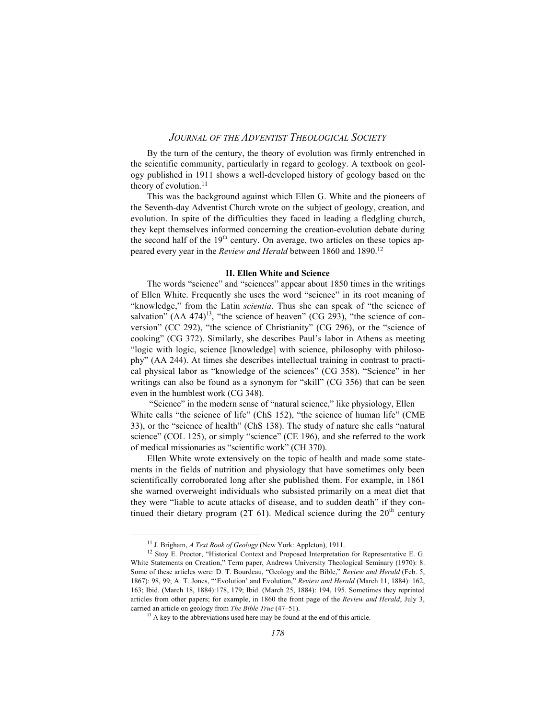By the turn of the century, the theory of evolution was firmly entrenched in the scientific community, particularly in regard to geology. A textbook on geology published in 1911 shows a well-developed history of geology based on the theory of evolution. $11$ 

This was the background against which Ellen G. White and the pioneers of the Seventh-day Adventist Church wrote on the subject of geology, creation, and evolution. In spite of the difficulties they faced in leading a fledgling church, they kept themselves informed concerning the creation-evolution debate during the second half of the  $19<sup>th</sup>$  century. On average, two articles on these topics appeared every year in the *Review and Herald* between 1860 and 1890.12

#### **II. Ellen White and Science**

The words "science" and "sciences" appear about 1850 times in the writings of Ellen White. Frequently she uses the word "science" in its root meaning of "knowledge," from the Latin *scientia*. Thus she can speak of "the science of salvation"  $(AA 474)^{13}$ , "the science of heaven" (CG 293), "the science of conversion" (CC 292), "the science of Christianity" (CG 296), or the "science of cooking" (CG 372). Similarly, she describes Paul's labor in Athens as meeting "logic with logic, science [knowledge] with science, philosophy with philosophy" (AA 244). At times she describes intellectual training in contrast to practical physical labor as "knowledge of the sciences" (CG 358). "Science" in her writings can also be found as a synonym for "skill" (CG 356) that can be seen even in the humblest work (CG 348).

 "Science" in the modern sense of "natural science," like physiology, Ellen White calls "the science of life" (ChS 152), "the science of human life" (CME 33), or the "science of health" (ChS 138). The study of nature she calls "natural science" (COL 125), or simply "science" (CE 196), and she referred to the work of medical missionaries as "scientific work" (CH 370).

Ellen White wrote extensively on the topic of health and made some statements in the fields of nutrition and physiology that have sometimes only been scientifically corroborated long after she published them. For example, in 1861 she warned overweight individuals who subsisted primarily on a meat diet that they were "liable to acute attacks of disease, and to sudden death" if they continued their dietary program (2T 61). Medical science during the  $20<sup>th</sup>$  century

11 J. Brigham, *A Text Book of Geology* (New York: Appleton), 1911.

<sup>12</sup> Stoy E. Proctor, "Historical Context and Proposed Interpretation for Representative E. G. White Statements on Creation," Term paper, Andrews University Theological Seminary (1970): 8. Some of these articles were: D. T. Bourdeau, "Geology and the Bible," *Review and Herald* (Feb. 5, 1867): 98, 99; A. T. Jones, "'Evolution' and Evolution," *Review and Herald* (March 11, 1884): 162, 163; Ibid. (March 18, 1884):178, 179; Ibid. (March 25, 1884): 194, 195. Sometimes they reprinted articles from other papers; for example, in 1860 the front page of the *Review and Herald*, July 3, carried an article on geology from *The Bible True* (47–51).<br><sup>13</sup> A key to the abbreviations used here may be found at the end of this article.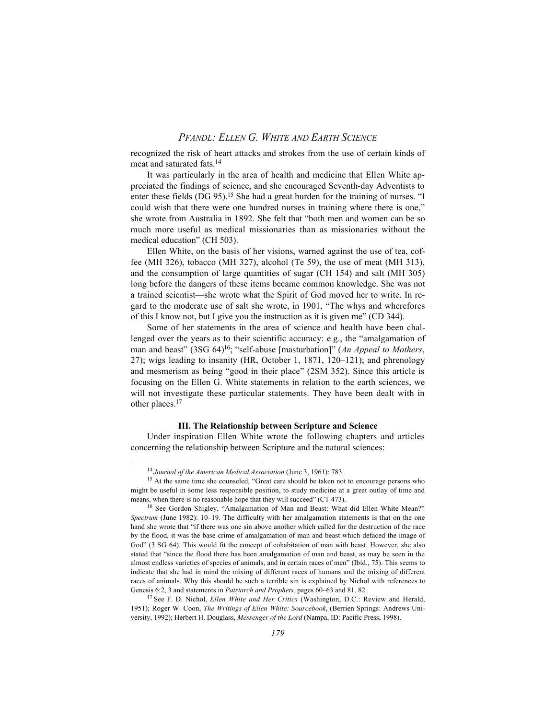recognized the risk of heart attacks and strokes from the use of certain kinds of meat and saturated fats.14

It was particularly in the area of health and medicine that Ellen White appreciated the findings of science, and she encouraged Seventh-day Adventists to enter these fields (DG 95).<sup>15</sup> She had a great burden for the training of nurses. "I could wish that there were one hundred nurses in training where there is one," she wrote from Australia in 1892. She felt that "both men and women can be so much more useful as medical missionaries than as missionaries without the medical education" (CH 503).

Ellen White, on the basis of her visions, warned against the use of tea, coffee (MH 326), tobacco (MH 327), alcohol (Te 59), the use of meat (MH 313), and the consumption of large quantities of sugar (CH 154) and salt (MH 305) long before the dangers of these items became common knowledge. She was not a trained scientist—she wrote what the Spirit of God moved her to write. In regard to the moderate use of salt she wrote, in 1901, "The whys and wherefores of this I know not, but I give you the instruction as it is given me" (CD 344).

Some of her statements in the area of science and health have been challenged over the years as to their scientific accuracy: e.g., the "amalgamation of man and beast" (3SG 64)16; "self-abuse [masturbation]" (*An Appeal to Mothers*, 27); wigs leading to insanity (HR, October 1, 1871, 120–121); and phrenology and mesmerism as being "good in their place" (2SM 352). Since this article is focusing on the Ellen G. White statements in relation to the earth sciences, we will not investigate these particular statements. They have been dealt with in other places.17

#### **III. The Relationship between Scripture and Science**

Under inspiration Ellen White wrote the following chapters and articles concerning the relationship between Scripture and the natural sciences:

<sup>14</sup> *Journal of the American Medical Association* (June 3, 1961): 783.

<sup>&</sup>lt;sup>15</sup> At the same time she counseled, "Great care should be taken not to encourage persons who might be useful in some less responsible position, to study medicine at a great outlay of time and means, when there is no reasonable hope that they will succeed" (CT 473).

<sup>&</sup>lt;sup>16</sup> See Gordon Shigley, "Amalgamation of Man and Beast: What did Ellen White Mean?" *Spectrum* (June 1982): 10–19. The difficulty with her amalgamation statements is that on the one hand she wrote that "if there was one sin above another which called for the destruction of the race by the flood, it was the base crime of amalgamation of man and beast which defaced the image of God" (3 SG 64). This would fit the concept of cohabitation of man with beast. However, she also stated that "since the flood there has been amalgamation of man and beast, as may be seen in the almost endless varieties of species of animals, and in certain races of men" (Ibid., 75). This seems to indicate that she had in mind the mixing of different races of humans and the mixing of different races of animals. Why this should be such a terrible sin is explained by Nichol with references to Genesis 6:2, 3 and statements in *Patriarch and Prophets,* pages 60–63 and 81, 82.

<sup>17</sup> See F. D. Nichol, *Ellen White and Her Critics* (Washington, D.C.: Review and Herald, 1951); Roger W. Coon, *The Writings of Ellen White: Sourcebook*, (Berrien Springs: Andrews University, 1992); Herbert H. Douglass, *Messenger of the Lord* (Nampa, ID: Pacific Press, 1998).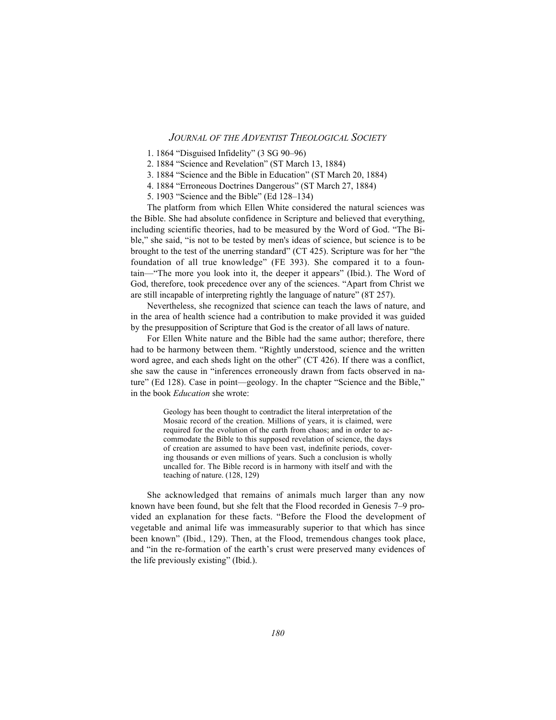- 1. 1864 "Disguised Infidelity" (3 SG 90–96)
- 2. 1884 "Science and Revelation" (ST March 13, 1884)
- 3. 1884 "Science and the Bible in Education" (ST March 20, 1884)
- 4. 1884 "Erroneous Doctrines Dangerous" (ST March 27, 1884)
- 5. 1903 "Science and the Bible" (Ed 128–134)

The platform from which Ellen White considered the natural sciences was the Bible. She had absolute confidence in Scripture and believed that everything, including scientific theories, had to be measured by the Word of God. "The Bible," she said, "is not to be tested by men's ideas of science, but science is to be brought to the test of the unerring standard" (CT 425). Scripture was for her "the foundation of all true knowledge" (FE 393). She compared it to a fountain—"The more you look into it, the deeper it appears" (Ibid.). The Word of God, therefore, took precedence over any of the sciences. "Apart from Christ we are still incapable of interpreting rightly the language of nature" (8T 257).

Nevertheless, she recognized that science can teach the laws of nature, and in the area of health science had a contribution to make provided it was guided by the presupposition of Scripture that God is the creator of all laws of nature.

For Ellen White nature and the Bible had the same author; therefore, there had to be harmony between them. "Rightly understood, science and the written word agree, and each sheds light on the other" (CT 426). If there was a conflict, she saw the cause in "inferences erroneously drawn from facts observed in nature" (Ed 128). Case in point—geology. In the chapter "Science and the Bible," in the book *Education* she wrote:

> Geology has been thought to contradict the literal interpretation of the Mosaic record of the creation. Millions of years, it is claimed, were required for the evolution of the earth from chaos; and in order to accommodate the Bible to this supposed revelation of science, the days of creation are assumed to have been vast, indefinite periods, covering thousands or even millions of years. Such a conclusion is wholly uncalled for. The Bible record is in harmony with itself and with the teaching of nature. (128, 129)

She acknowledged that remains of animals much larger than any now known have been found, but she felt that the Flood recorded in Genesis 7–9 provided an explanation for these facts. "Before the Flood the development of vegetable and animal life was immeasurably superior to that which has since been known" (Ibid., 129). Then, at the Flood, tremendous changes took place, and "in the re-formation of the earth's crust were preserved many evidences of the life previously existing" (Ibid.).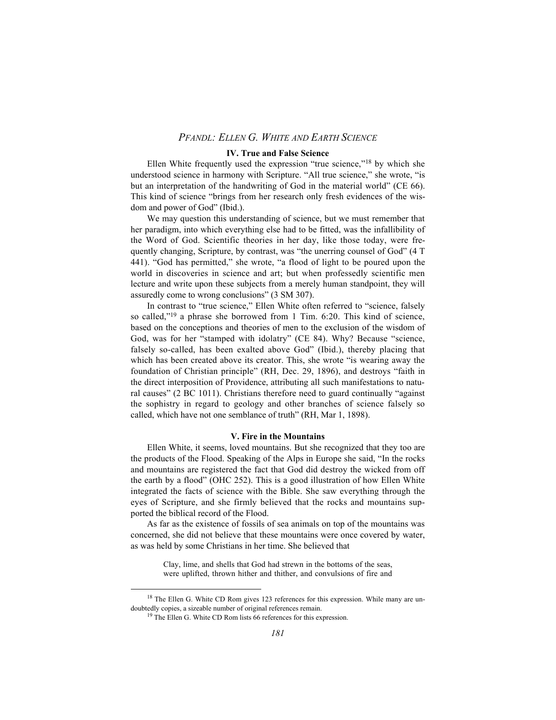### **IV. True and False Science**

Ellen White frequently used the expression "true science,"18 by which she understood science in harmony with Scripture. "All true science," she wrote, "is but an interpretation of the handwriting of God in the material world" (CE 66). This kind of science "brings from her research only fresh evidences of the wisdom and power of God" (Ibid.).

We may question this understanding of science, but we must remember that her paradigm, into which everything else had to be fitted, was the infallibility of the Word of God. Scientific theories in her day, like those today, were frequently changing, Scripture, by contrast, was "the unerring counsel of God" (4 T 441). "God has permitted," she wrote, "a flood of light to be poured upon the world in discoveries in science and art; but when professedly scientific men lecture and write upon these subjects from a merely human standpoint, they will assuredly come to wrong conclusions" (3 SM 307).

In contrast to "true science," Ellen White often referred to "science, falsely so called,"<sup>19</sup> a phrase she borrowed from 1 Tim. 6:20. This kind of science, based on the conceptions and theories of men to the exclusion of the wisdom of God, was for her "stamped with idolatry" (CE 84). Why? Because "science, falsely so-called, has been exalted above God" (Ibid.), thereby placing that which has been created above its creator. This, she wrote "is wearing away the foundation of Christian principle" (RH, Dec. 29, 1896), and destroys "faith in the direct interposition of Providence, attributing all such manifestations to natural causes" (2 BC 1011). Christians therefore need to guard continually "against the sophistry in regard to geology and other branches of science falsely so called, which have not one semblance of truth" (RH, Mar 1, 1898).

#### **V. Fire in the Mountains**

Ellen White, it seems, loved mountains. But she recognized that they too are the products of the Flood. Speaking of the Alps in Europe she said, "In the rocks and mountains are registered the fact that God did destroy the wicked from off the earth by a flood" (OHC 252). This is a good illustration of how Ellen White integrated the facts of science with the Bible. She saw everything through the eyes of Scripture, and she firmly believed that the rocks and mountains supported the biblical record of the Flood.

As far as the existence of fossils of sea animals on top of the mountains was concerned, she did not believe that these mountains were once covered by water, as was held by some Christians in her time. She believed that

> Clay, lime, and shells that God had strewn in the bottoms of the seas, were uplifted, thrown hither and thither, and convulsions of fire and

<sup>&</sup>lt;sup>18</sup> The Ellen G. White CD Rom gives 123 references for this expression. While many are undoubtedly copies, a sizeable number of original references remain.

<sup>&</sup>lt;sup>19</sup> The Ellen G. White CD Rom lists 66 references for this expression.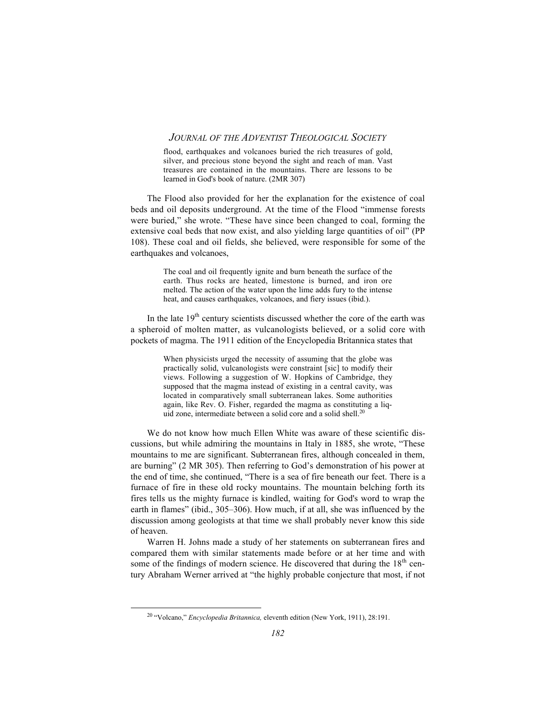flood, earthquakes and volcanoes buried the rich treasures of gold, silver, and precious stone beyond the sight and reach of man. Vast treasures are contained in the mountains. There are lessons to be learned in God's book of nature. (2MR 307)

The Flood also provided for her the explanation for the existence of coal beds and oil deposits underground. At the time of the Flood "immense forests were buried," she wrote. "These have since been changed to coal, forming the extensive coal beds that now exist, and also yielding large quantities of oil" (PP 108). These coal and oil fields, she believed, were responsible for some of the earthquakes and volcanoes,

> The coal and oil frequently ignite and burn beneath the surface of the earth. Thus rocks are heated, limestone is burned, and iron ore melted. The action of the water upon the lime adds fury to the intense heat, and causes earthquakes, volcanoes, and fiery issues (ibid.).

In the late  $19<sup>th</sup>$  century scientists discussed whether the core of the earth was a spheroid of molten matter, as vulcanologists believed, or a solid core with pockets of magma. The 1911 edition of the Encyclopedia Britannica states that

> When physicists urged the necessity of assuming that the globe was practically solid, vulcanologists were constraint [sic] to modify their views. Following a suggestion of W. Hopkins of Cambridge, they supposed that the magma instead of existing in a central cavity, was located in comparatively small subterranean lakes. Some authorities again, like Rev. O. Fisher, regarded the magma as constituting a liquid zone, intermediate between a solid core and a solid shell.<sup>20</sup>

We do not know how much Ellen White was aware of these scientific discussions, but while admiring the mountains in Italy in 1885, she wrote, "These mountains to me are significant. Subterranean fires, although concealed in them, are burning" (2 MR 305). Then referring to God's demonstration of his power at the end of time, she continued, "There is a sea of fire beneath our feet. There is a furnace of fire in these old rocky mountains. The mountain belching forth its fires tells us the mighty furnace is kindled, waiting for God's word to wrap the earth in flames" (ibid., 305–306). How much, if at all, she was influenced by the discussion among geologists at that time we shall probably never know this side of heaven.

Warren H. Johns made a study of her statements on subterranean fires and compared them with similar statements made before or at her time and with some of the findings of modern science. He discovered that during the  $18<sup>th</sup>$  century Abraham Werner arrived at "the highly probable conjecture that most, if not

20 "Volcano," *Encyclopedia Britannica,* eleventh edition (New York, 1911), 28:191.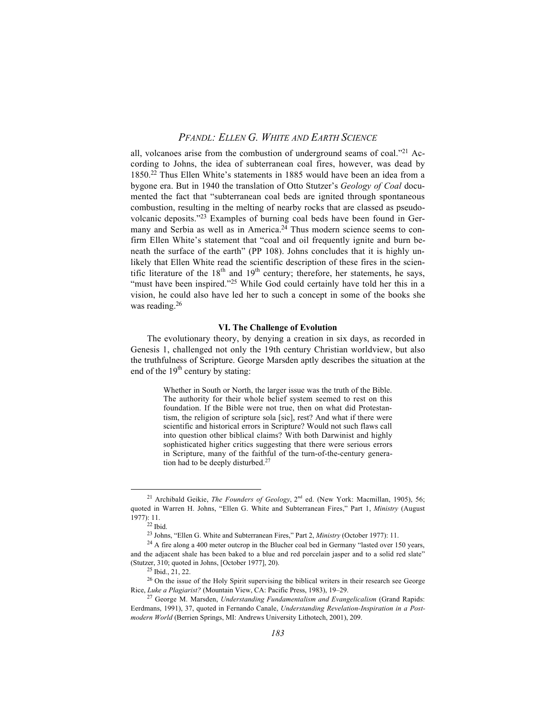all, volcanoes arise from the combustion of underground seams of coal."21 According to Johns, the idea of subterranean coal fires, however, was dead by 1850.22 Thus Ellen White's statements in 1885 would have been an idea from a bygone era. But in 1940 the translation of Otto Stutzer's *Geology of Coal* documented the fact that "subterranean coal beds are ignited through spontaneous combustion, resulting in the melting of nearby rocks that are classed as pseudovolcanic deposits."23 Examples of burning coal beds have been found in Germany and Serbia as well as in America.<sup>24</sup> Thus modern science seems to confirm Ellen White's statement that "coal and oil frequently ignite and burn beneath the surface of the earth" (PP 108). Johns concludes that it is highly unlikely that Ellen White read the scientific description of these fires in the scientific literature of the  $18<sup>th</sup>$  and  $19<sup>th</sup>$  century; therefore, her statements, he says, "must have been inspired."<sup>25</sup> While God could certainly have told her this in a vision, he could also have led her to such a concept in some of the books she was reading.<sup>26</sup>

### **VI. The Challenge of Evolution**

The evolutionary theory, by denying a creation in six days, as recorded in Genesis 1, challenged not only the 19th century Christian worldview, but also the truthfulness of Scripture. George Marsden aptly describes the situation at the end of the  $19<sup>th</sup>$  century by stating:

> Whether in South or North, the larger issue was the truth of the Bible. The authority for their whole belief system seemed to rest on this foundation. If the Bible were not true, then on what did Protestantism, the religion of scripture sola [sic], rest? And what if there were scientific and historical errors in Scripture? Would not such flaws call into question other biblical claims? With both Darwinist and highly sophisticated higher critics suggesting that there were serious errors in Scripture, many of the faithful of the turn-of-the-century generation had to be deeply disturbed.27

<sup>&</sup>lt;sup>21</sup> Archibald Geikie, *The Founders of Geology*, 2<sup>nd</sup> ed. (New York: Macmillan, 1905), 56; quoted in Warren H. Johns, "Ellen G. White and Subterranean Fires," Part 1, *Ministry* (August 1977): 11.

 $22$  Ibid.

<sup>23</sup> Johns, "Ellen G. White and Subterranean Fires," Part 2, *Ministry* (October 1977): 11.

<sup>&</sup>lt;sup>24</sup> A fire along a 400 meter outcrop in the Blucher coal bed in Germany "lasted over 150 years, and the adjacent shale has been baked to a blue and red porcelain jasper and to a solid red slate" (Stutzer, 310; quoted in Johns, [October 1977], 20).

<sup>25</sup> Ibid., 21, 22.

<sup>&</sup>lt;sup>26</sup> On the issue of the Holy Spirit supervising the biblical writers in their research see George Rice, *Luke a Plagiarist?* (Mountain View, CA: Pacific Press, 1983), 19–29.

<sup>27</sup> George M. Marsden, *Understanding Fundamentalism and Evangelicalism* (Grand Rapids: Eerdmans, 1991), 37, quoted in Fernando Canale, *Understanding Revelation-Inspiration in a Postmodern World* (Berrien Springs, MI: Andrews University Lithotech, 2001), 209.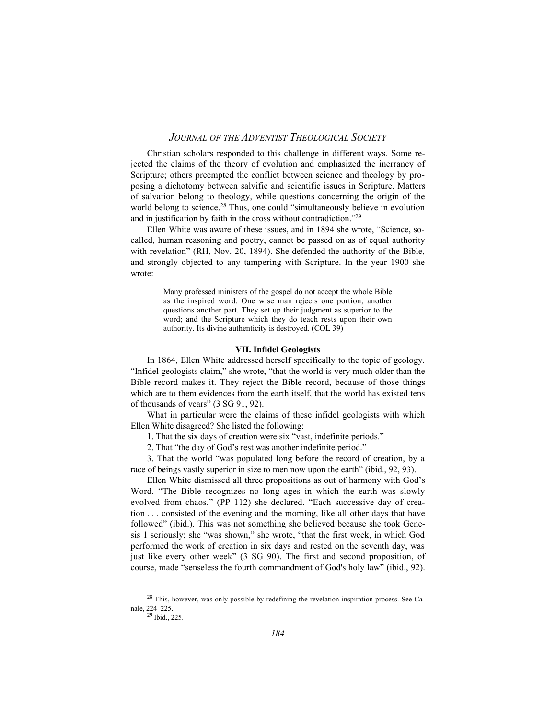Christian scholars responded to this challenge in different ways. Some rejected the claims of the theory of evolution and emphasized the inerrancy of Scripture; others preempted the conflict between science and theology by proposing a dichotomy between salvific and scientific issues in Scripture. Matters of salvation belong to theology, while questions concerning the origin of the world belong to science.<sup>28</sup> Thus, one could "simultaneously believe in evolution and in justification by faith in the cross without contradiction."29

Ellen White was aware of these issues, and in 1894 she wrote, "Science, socalled, human reasoning and poetry, cannot be passed on as of equal authority with revelation" (RH, Nov. 20, 1894). She defended the authority of the Bible, and strongly objected to any tampering with Scripture. In the year 1900 she wrote:

> Many professed ministers of the gospel do not accept the whole Bible as the inspired word. One wise man rejects one portion; another questions another part. They set up their judgment as superior to the word; and the Scripture which they do teach rests upon their own authority. Its divine authenticity is destroyed. (COL 39)

### **VII. Infidel Geologists**

In 1864, Ellen White addressed herself specifically to the topic of geology. "Infidel geologists claim," she wrote, "that the world is very much older than the Bible record makes it. They reject the Bible record, because of those things which are to them evidences from the earth itself, that the world has existed tens of thousands of years" (3 SG 91, 92).

What in particular were the claims of these infidel geologists with which Ellen White disagreed? She listed the following:

1. That the six days of creation were six "vast, indefinite periods."

2. That "the day of God's rest was another indefinite period."

3. That the world "was populated long before the record of creation, by a race of beings vastly superior in size to men now upon the earth" (ibid., 92, 93).

Ellen White dismissed all three propositions as out of harmony with God's Word. "The Bible recognizes no long ages in which the earth was slowly evolved from chaos," (PP 112) she declared. "Each successive day of creation . . . consisted of the evening and the morning, like all other days that have followed" (ibid.). This was not something she believed because she took Genesis 1 seriously; she "was shown," she wrote, "that the first week, in which God performed the work of creation in six days and rested on the seventh day, was just like every other week" (3 SG 90). The first and second proposition, of course, made "senseless the fourth commandment of God's holy law" (ibid., 92).

28 This, however, was only possible by redefining the revelation-inspiration process. See Canale, 224–225.

 $29$  Ibid., 225.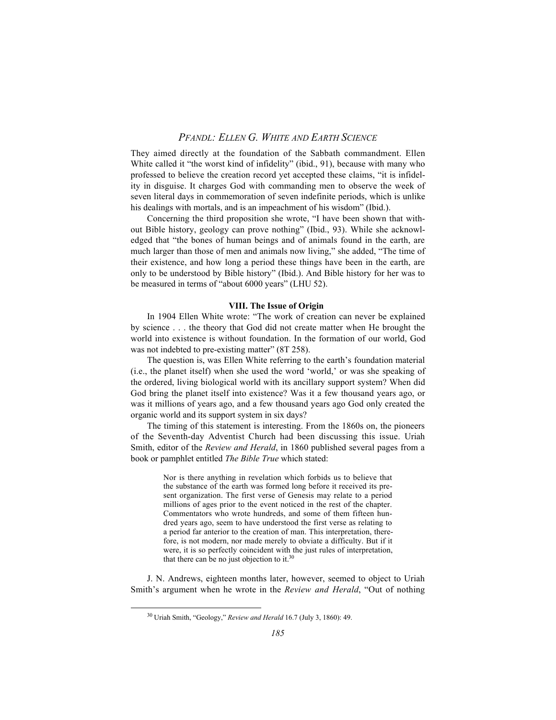They aimed directly at the foundation of the Sabbath commandment. Ellen White called it "the worst kind of infidelity" (ibid., 91), because with many who professed to believe the creation record yet accepted these claims, "it is infidelity in disguise. It charges God with commanding men to observe the week of seven literal days in commemoration of seven indefinite periods, which is unlike his dealings with mortals, and is an impeachment of his wisdom" (Ibid.).

Concerning the third proposition she wrote, "I have been shown that without Bible history, geology can prove nothing" (Ibid., 93). While she acknowledged that "the bones of human beings and of animals found in the earth, are much larger than those of men and animals now living," she added, "The time of their existence, and how long a period these things have been in the earth, are only to be understood by Bible history" (Ibid.). And Bible history for her was to be measured in terms of "about 6000 years" (LHU 52).

### **VIII. The Issue of Origin**

In 1904 Ellen White wrote: "The work of creation can never be explained by science . . . the theory that God did not create matter when He brought the world into existence is without foundation. In the formation of our world, God was not indebted to pre-existing matter" (8T 258).

The question is, was Ellen White referring to the earth's foundation material (i.e., the planet itself) when she used the word 'world,' or was she speaking of the ordered, living biological world with its ancillary support system? When did God bring the planet itself into existence? Was it a few thousand years ago, or was it millions of years ago, and a few thousand years ago God only created the organic world and its support system in six days?

The timing of this statement is interesting. From the 1860s on, the pioneers of the Seventh-day Adventist Church had been discussing this issue. Uriah Smith, editor of the *Review and Herald*, in 1860 published several pages from a book or pamphlet entitled *The Bible True* which stated:

> Nor is there anything in revelation which forbids us to believe that the substance of the earth was formed long before it received its present organization. The first verse of Genesis may relate to a period millions of ages prior to the event noticed in the rest of the chapter. Commentators who wrote hundreds, and some of them fifteen hundred years ago, seem to have understood the first verse as relating to a period far anterior to the creation of man. This interpretation, therefore, is not modern, nor made merely to obviate a difficulty. But if it were, it is so perfectly coincident with the just rules of interpretation, that there can be no just objection to it.30

J. N. Andrews, eighteen months later, however, seemed to object to Uriah Smith's argument when he wrote in the *Review and Herald*, "Out of nothing

30 Uriah Smith, "Geology," *Review and Herald* 16.7 (July 3, 1860): 49.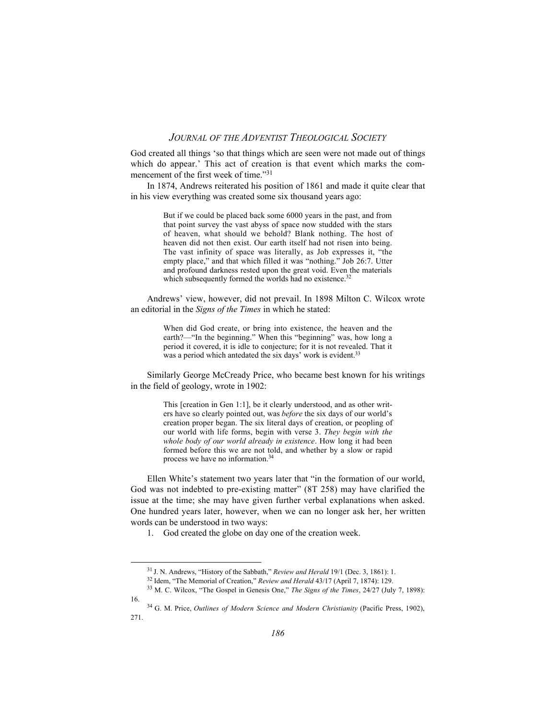God created all things 'so that things which are seen were not made out of things which do appear.' This act of creation is that event which marks the commencement of the first week of time."<sup>31</sup>

In 1874, Andrews reiterated his position of 1861 and made it quite clear that in his view everything was created some six thousand years ago:

> But if we could be placed back some 6000 years in the past, and from that point survey the vast abyss of space now studded with the stars of heaven, what should we behold? Blank nothing. The host of heaven did not then exist. Our earth itself had not risen into being. The vast infinity of space was literally, as Job expresses it, "the empty place," and that which filled it was "nothing." Job 26:7. Utter and profound darkness rested upon the great void. Even the materials which subsequently formed the worlds had no existence.<sup>32</sup>

Andrews' view, however, did not prevail. In 1898 Milton C. Wilcox wrote an editorial in the *Signs of the Times* in which he stated:

> When did God create, or bring into existence, the heaven and the earth?—"In the beginning." When this "beginning" was, how long a period it covered, it is idle to conjecture; for it is not revealed. That it was a period which antedated the six days' work is evident.<sup>33</sup>

Similarly George McCready Price, who became best known for his writings in the field of geology, wrote in 1902:

> This [creation in Gen 1:1], be it clearly understood, and as other writers have so clearly pointed out, was *before* the six days of our world's creation proper began. The six literal days of creation, or peopling of our world with life forms, begin with verse 3. *They begin with the whole body of our world already in existence*. How long it had been formed before this we are not told, and whether by a slow or rapid process we have no information.34

Ellen White's statement two years later that "in the formation of our world, God was not indebted to pre-existing matter" (8T 258) may have clarified the issue at the time; she may have given further verbal explanations when asked. One hundred years later, however, when we can no longer ask her, her written words can be understood in two ways:

1. God created the globe on day one of the creation week.

<sup>31</sup> J. N. Andrews, "History of the Sabbath," *Review and Herald* 19/1 (Dec. 3, 1861): 1.

<sup>32</sup> Idem, "The Memorial of Creation," *Review and Herald* 43/17 (April 7, 1874): 129.

<sup>33</sup> M. C. Wilcox, "The Gospel in Genesis One," *The Signs of the Times*, 24/27 (July 7, 1898): 16.

<sup>34</sup> G. M. Price, *Outlines of Modern Science and Modern Christianity* (Pacific Press, 1902), 271.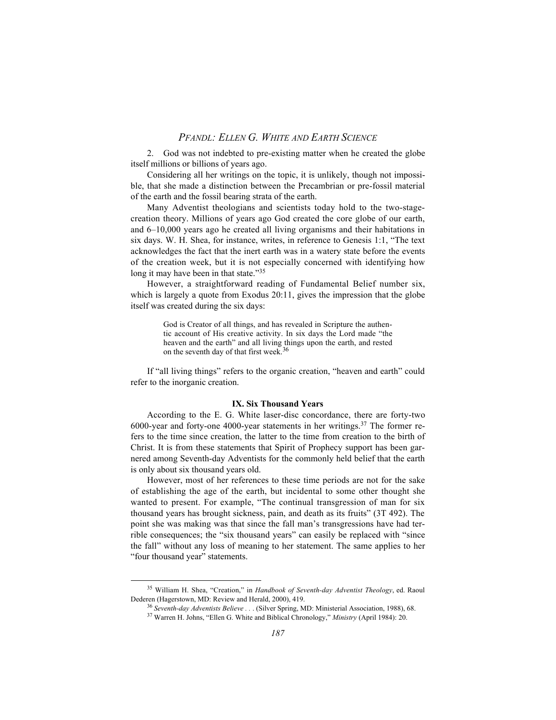2. God was not indebted to pre-existing matter when he created the globe itself millions or billions of years ago.

Considering all her writings on the topic, it is unlikely, though not impossible, that she made a distinction between the Precambrian or pre-fossil material of the earth and the fossil bearing strata of the earth.

Many Adventist theologians and scientists today hold to the two-stagecreation theory. Millions of years ago God created the core globe of our earth, and 6–10,000 years ago he created all living organisms and their habitations in six days. W. H. Shea, for instance, writes, in reference to Genesis 1:1, "The text acknowledges the fact that the inert earth was in a watery state before the events of the creation week, but it is not especially concerned with identifying how long it may have been in that state."<sup>35</sup>

However, a straightforward reading of Fundamental Belief number six, which is largely a quote from Exodus 20:11, gives the impression that the globe itself was created during the six days:

> God is Creator of all things, and has revealed in Scripture the authentic account of His creative activity. In six days the Lord made "the heaven and the earth" and all living things upon the earth, and rested on the seventh day of that first week.<sup>36</sup>

If "all living things" refers to the organic creation, "heaven and earth" could refer to the inorganic creation.

# **IX. Six Thousand Years**

According to the E. G. White laser-disc concordance, there are forty-two 6000-year and forty-one 4000-year statements in her writings.<sup>37</sup> The former refers to the time since creation, the latter to the time from creation to the birth of Christ. It is from these statements that Spirit of Prophecy support has been garnered among Seventh-day Adventists for the commonly held belief that the earth is only about six thousand years old.

However, most of her references to these time periods are not for the sake of establishing the age of the earth, but incidental to some other thought she wanted to present. For example, "The continual transgression of man for six thousand years has brought sickness, pain, and death as its fruits" (3T 492). The point she was making was that since the fall man's transgressions have had terrible consequences; the "six thousand years" can easily be replaced with "since the fall" without any loss of meaning to her statement. The same applies to her "four thousand year" statements.

35 William H. Shea, "Creation," in *Handbook of Seventh-day Adventist Theology*, ed. Raoul Dederen (Hagerstown, MD: Review and Herald, 2000), 419.

<sup>36</sup> *Seventh-day Adventists Believe . .* . (Silver Spring, MD: Ministerial Association, 1988), 68.

<sup>37</sup> Warren H. Johns, "Ellen G. White and Biblical Chronology," *Ministry* (April 1984): 20.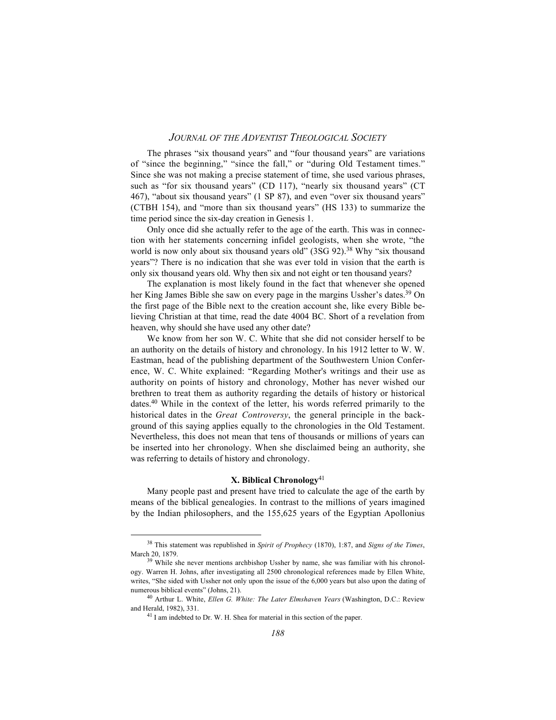The phrases "six thousand years" and "four thousand years" are variations of "since the beginning," "since the fall," or "during Old Testament times." Since she was not making a precise statement of time, she used various phrases, such as "for six thousand years" (CD 117), "nearly six thousand years" (CT 467), "about six thousand years" (1 SP 87), and even "over six thousand years" (CTBH 154), and "more than six thousand years" (HS 133) to summarize the time period since the six-day creation in Genesis 1.

Only once did she actually refer to the age of the earth. This was in connection with her statements concerning infidel geologists, when she wrote, "the world is now only about six thousand years old" (3SG 92).<sup>38</sup> Why "six thousand years"? There is no indication that she was ever told in vision that the earth is only six thousand years old. Why then six and not eight or ten thousand years?

The explanation is most likely found in the fact that whenever she opened her King James Bible she saw on every page in the margins Ussher's dates.<sup>39</sup> On the first page of the Bible next to the creation account she, like every Bible believing Christian at that time, read the date 4004 BC. Short of a revelation from heaven, why should she have used any other date?

We know from her son W. C. White that she did not consider herself to be an authority on the details of history and chronology. In his 1912 letter to W. W. Eastman, head of the publishing department of the Southwestern Union Conference, W. C. White explained: "Regarding Mother's writings and their use as authority on points of history and chronology, Mother has never wished our brethren to treat them as authority regarding the details of history or historical dates.40 While in the context of the letter, his words referred primarily to the historical dates in the *Great Controversy*, the general principle in the background of this saying applies equally to the chronologies in the Old Testament. Nevertheless, this does not mean that tens of thousands or millions of years can be inserted into her chronology. When she disclaimed being an authority, she was referring to details of history and chronology.

# **X. Biblical Chronology**<sup>41</sup>

Many people past and present have tried to calculate the age of the earth by means of the biblical genealogies. In contrast to the millions of years imagined by the Indian philosophers, and the 155,625 years of the Egyptian Apollonius

38 This statement was republished in *Spirit of Prophecy* (1870), 1:87, and *Signs of the Times*, March 20, 1879.

<sup>39</sup> While she never mentions archbishop Ussher by name, she was familiar with his chronology. Warren H. Johns, after investigating all 2500 chronological references made by Ellen White, writes, "She sided with Ussher not only upon the issue of the 6,000 years but also upon the dating of numerous biblical events" (Johns, 21).

<sup>40</sup> Arthur L. White, *Ellen G. White: The Later Elmshaven Years* (Washington, D.C.: Review and Herald, 1982), 331.

<sup>&</sup>lt;sup>41</sup> I am indebted to Dr. W. H. Shea for material in this section of the paper.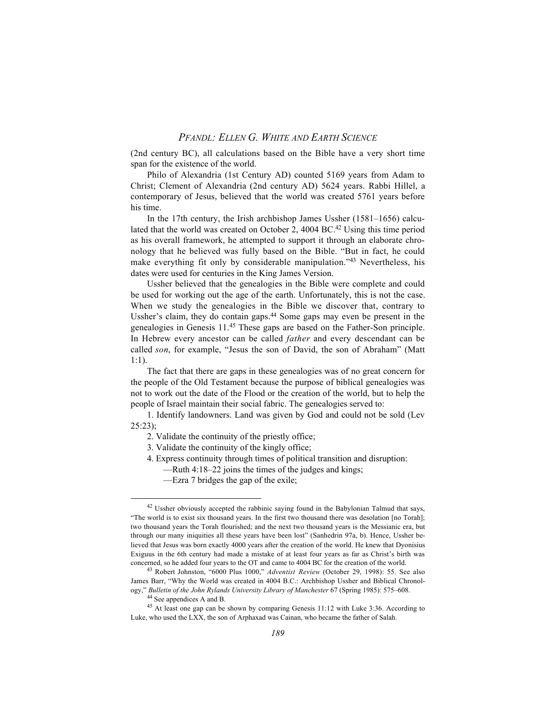(2nd century BC), all calculations based on the Bible have a very short time span for the existence of the world.

Philo of Alexandria (1st Century AD) counted 5169 years from Adam to Christ; Clement of Alexandria (2nd century AD) 5624 years. Rabbi Hillel, a contemporary of Jesus, believed that the world was created 5761 years before his time.

In the 17th century, the Irish archbishop James Ussher (1581–1656) calculated that the world was created on October 2, 4004 BC.<sup>42</sup> Using this time period as his overall framework, he attempted to support it through an elaborate chronology that he believed was fully based on the Bible. "But in fact, he could make everything fit only by considerable manipulation."43 Nevertheless, his dates were used for centuries in the King James Version.

Ussher believed that the genealogies in the Bible were complete and could be used for working out the age of the earth. Unfortunately, this is not the case. When we study the genealogies in the Bible we discover that, contrary to Ussher's claim, they do contain gaps.44 Some gaps may even be present in the genealogies in Genesis 11.45 These gaps are based on the Father-Son principle. In Hebrew every ancestor can be called *father* and every descendant can be called *son*, for example, "Jesus the son of David, the son of Abraham" (Matt 1:1).

The fact that there are gaps in these genealogies was of no great concern for the people of the Old Testament because the purpose of biblical genealogies was not to work out the date of the Flood or the creation of the world, but to help the people of Israel maintain their social fabric. The genealogies served to:

1. Identify landowners. Land was given by God and could not be sold (Lev 25:23);

- 2. Validate the continuity of the priestly office;
- 3. Validate the continuity of the kingly office;
- 4. Express continuity through times of political transition and disruption:
	- —Ruth 4:18–22 joins the times of the judges and kings;
	- —Ezra 7 bridges the gap of the exile;

<sup>&</sup>lt;sup>42</sup> Ussher obviously accepted the rabbinic saying found in the Babylonian Talmud that says, "The world is to exist six thousand years. In the first two thousand there was desolation [no Torah]; two thousand years the Torah flourished; and the next two thousand years is the Messianic era, but through our many iniquities all these years have been lost" (Sanhedrin 97a, b). Hence, Ussher believed that Jesus was born exactly 4000 years after the creation of the world. He knew that Dyonisius Exiguus in the 6th century had made a mistake of at least four years as far as Christ's birth was concerned, so he added four years to the OT and came to 4004 BC for the creation of the world.

<sup>43</sup> Robert Johnston, "6000 Plus 1000," *Adventist Review* (October 29, 1998): 55. See also James Barr, "Why the World was created in 4004 B.C.: Archbishop Ussher and Biblical Chronology," *Bulletin of the John Rylands University Library of Manchester* 67 (Spring 1985): 575–608.

<sup>44</sup> See appendices A and B.

<sup>45</sup> At least one gap can be shown by comparing Genesis 11:12 with Luke 3:36. According to Luke, who used the LXX, the son of Arphaxad was Cainan, who became the father of Salah.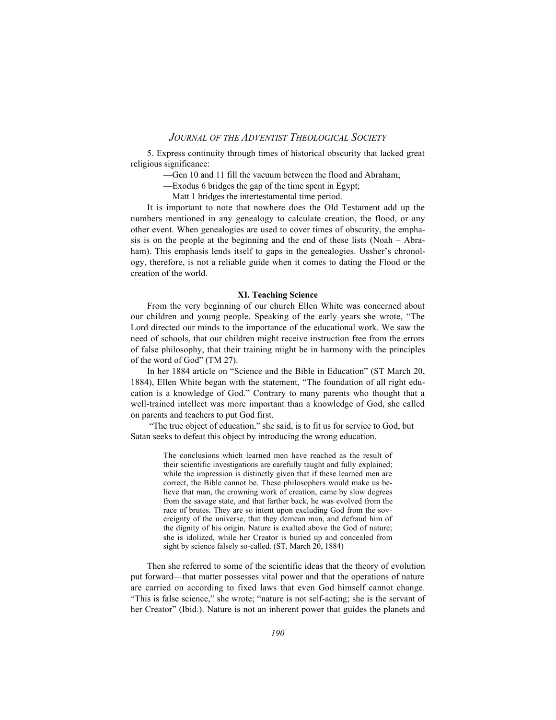5. Express continuity through times of historical obscurity that lacked great religious significance:

- —Gen 10 and 11 fill the vacuum between the flood and Abraham;
- —Exodus 6 bridges the gap of the time spent in Egypt;
- —Matt 1 bridges the intertestamental time period.

It is important to note that nowhere does the Old Testament add up the numbers mentioned in any genealogy to calculate creation, the flood, or any other event. When genealogies are used to cover times of obscurity, the emphasis is on the people at the beginning and the end of these lists (Noah – Abraham). This emphasis lends itself to gaps in the genealogies. Ussher's chronology, therefore, is not a reliable guide when it comes to dating the Flood or the creation of the world.

#### **XI. Teaching Science**

From the very beginning of our church Ellen White was concerned about our children and young people. Speaking of the early years she wrote, "The Lord directed our minds to the importance of the educational work. We saw the need of schools, that our children might receive instruction free from the errors of false philosophy, that their training might be in harmony with the principles of the word of God" (TM 27).

In her 1884 article on "Science and the Bible in Education" (ST March 20, 1884), Ellen White began with the statement, "The foundation of all right education is a knowledge of God." Contrary to many parents who thought that a well-trained intellect was more important than a knowledge of God, she called on parents and teachers to put God first.

 "The true object of education," she said, is to fit us for service to God, but Satan seeks to defeat this object by introducing the wrong education.

> The conclusions which learned men have reached as the result of their scientific investigations are carefully taught and fully explained; while the impression is distinctly given that if these learned men are correct, the Bible cannot be. These philosophers would make us believe that man, the crowning work of creation, came by slow degrees from the savage state, and that farther back, he was evolved from the race of brutes. They are so intent upon excluding God from the sovereignty of the universe, that they demean man, and defraud him of the dignity of his origin. Nature is exalted above the God of nature; she is idolized, while her Creator is buried up and concealed from sight by science falsely so-called. (ST, March 20, 1884)

Then she referred to some of the scientific ideas that the theory of evolution put forward—that matter possesses vital power and that the operations of nature are carried on according to fixed laws that even God himself cannot change. "This is false science," she wrote; "nature is not self-acting; she is the servant of her Creator" (Ibid.). Nature is not an inherent power that guides the planets and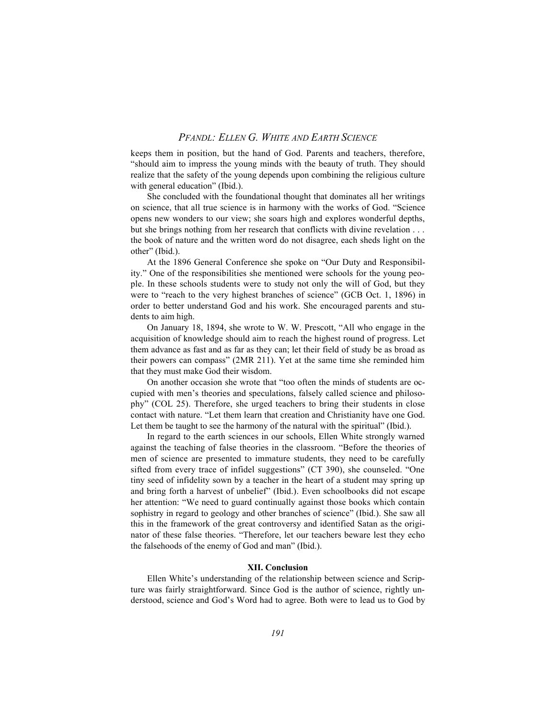keeps them in position, but the hand of God. Parents and teachers, therefore, "should aim to impress the young minds with the beauty of truth. They should realize that the safety of the young depends upon combining the religious culture with general education" (Ibid.).

She concluded with the foundational thought that dominates all her writings on science, that all true science is in harmony with the works of God. "Science opens new wonders to our view; she soars high and explores wonderful depths, but she brings nothing from her research that conflicts with divine revelation . . . the book of nature and the written word do not disagree, each sheds light on the other" (Ibid.).

At the 1896 General Conference she spoke on "Our Duty and Responsibility." One of the responsibilities she mentioned were schools for the young people. In these schools students were to study not only the will of God, but they were to "reach to the very highest branches of science" (GCB Oct. 1, 1896) in order to better understand God and his work. She encouraged parents and students to aim high.

On January 18, 1894, she wrote to W. W. Prescott, "All who engage in the acquisition of knowledge should aim to reach the highest round of progress. Let them advance as fast and as far as they can; let their field of study be as broad as their powers can compass" (2MR 211). Yet at the same time she reminded him that they must make God their wisdom.

On another occasion she wrote that "too often the minds of students are occupied with men's theories and speculations, falsely called science and philosophy" (COL 25). Therefore, she urged teachers to bring their students in close contact with nature. "Let them learn that creation and Christianity have one God. Let them be taught to see the harmony of the natural with the spiritual" (Ibid.).

In regard to the earth sciences in our schools, Ellen White strongly warned against the teaching of false theories in the classroom. "Before the theories of men of science are presented to immature students, they need to be carefully sifted from every trace of infidel suggestions" (CT 390), she counseled. "One tiny seed of infidelity sown by a teacher in the heart of a student may spring up and bring forth a harvest of unbelief" (Ibid.). Even schoolbooks did not escape her attention: "We need to guard continually against those books which contain sophistry in regard to geology and other branches of science" (Ibid.). She saw all this in the framework of the great controversy and identified Satan as the originator of these false theories. "Therefore, let our teachers beware lest they echo the falsehoods of the enemy of God and man" (Ibid.).

#### **XII. Conclusion**

Ellen White's understanding of the relationship between science and Scripture was fairly straightforward. Since God is the author of science, rightly understood, science and God's Word had to agree. Both were to lead us to God by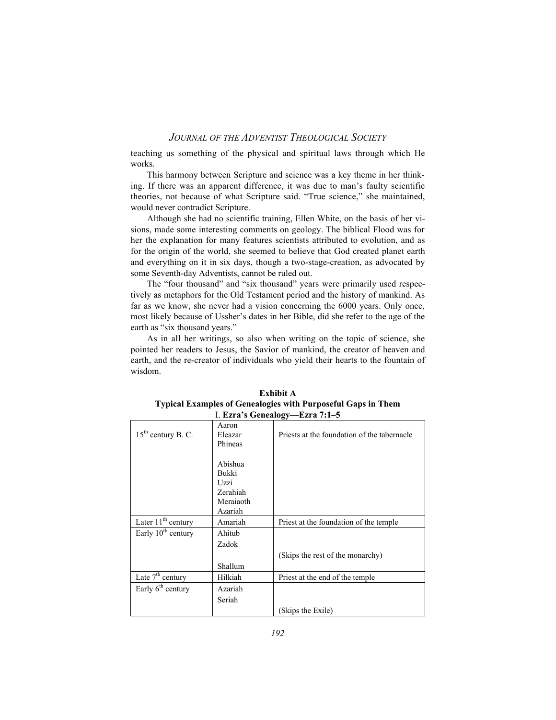teaching us something of the physical and spiritual laws through which He works.

This harmony between Scripture and science was a key theme in her thinking. If there was an apparent difference, it was due to man's faulty scientific theories, not because of what Scripture said. "True science," she maintained, would never contradict Scripture.

Although she had no scientific training, Ellen White, on the basis of her visions, made some interesting comments on geology. The biblical Flood was for her the explanation for many features scientists attributed to evolution, and as for the origin of the world, she seemed to believe that God created planet earth and everything on it in six days, though a two-stage-creation, as advocated by some Seventh-day Adventists, cannot be ruled out.

The "four thousand" and "six thousand" years were primarily used respectively as metaphors for the Old Testament period and the history of mankind. As far as we know, she never had a vision concerning the 6000 years. Only once, most likely because of Ussher's dates in her Bible, did she refer to the age of the earth as "six thousand years."

As in all her writings, so also when writing on the topic of science, she pointed her readers to Jesus, the Savior of mankind, the creator of heaven and earth, and the re-creator of individuals who yield their hearts to the fountain of wisdom.

| 1. Ezra's Genealogy—Ezra 7:1–5 |                             |                                             |  |  |
|--------------------------------|-----------------------------|---------------------------------------------|--|--|
| $15th$ century B. C.           | Aaron<br>Eleazar<br>Phineas | Priests at the foundation of the tabernacle |  |  |
|                                |                             |                                             |  |  |
|                                | Abishua                     |                                             |  |  |
|                                | Bukki                       |                                             |  |  |
|                                | Uzzi                        |                                             |  |  |
|                                | Zerahiah                    |                                             |  |  |
|                                | Meraiaoth                   |                                             |  |  |
|                                | Azariah                     |                                             |  |  |
| Later 11 <sup>th</sup> century | Amariah                     | Priest at the foundation of the temple      |  |  |
| Early 10 <sup>th</sup> century | Ahitub                      |                                             |  |  |
|                                | Zadok                       |                                             |  |  |
|                                |                             | (Skips the rest of the monarchy)            |  |  |
|                                | Shallum                     |                                             |  |  |
| Late $7th$ century             | Hilkiah                     | Priest at the end of the temple             |  |  |
| Early $6th$ century            | Azariah                     |                                             |  |  |
|                                | Seriah                      |                                             |  |  |
|                                |                             | Skips the Exile)                            |  |  |

**Exhibit A Typical Examples of Genealogies with Purposeful Gaps in Them** I. **Ezra's Genealogy—Ezra 7:1–5**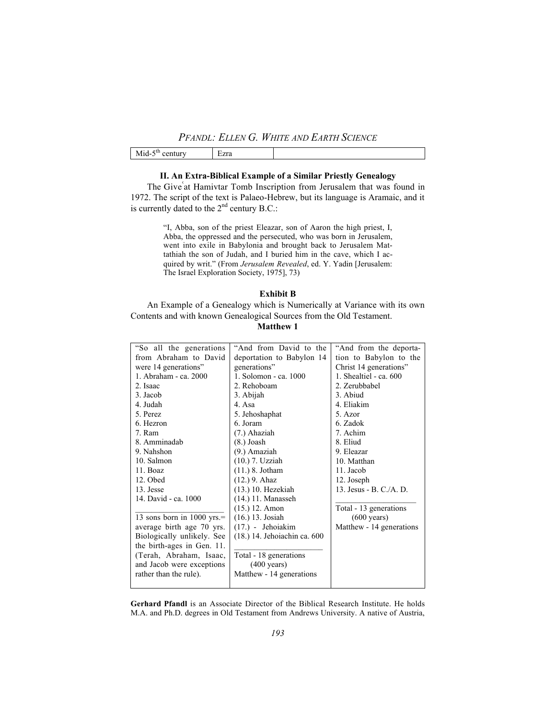| $ -$<br>٠Ш<br>- -<br>---<br>IV<br>uur<br>- 11<br>1111<br>- ------ | 7.82<br>LZIG<br>$- - -$ |  |
|-------------------------------------------------------------------|-------------------------|--|
|-------------------------------------------------------------------|-------------------------|--|

# **II. An Extra-Biblical Example of a Similar Priestly Genealogy**

The Give at Hamivtar Tomb Inscription from Jerusalem that was found in 1972. The script of the text is Palaeo-Hebrew, but its language is Aramaic, and it is currently dated to the  $2<sup>nd</sup>$  century B.C.:

> "I, Abba, son of the priest Eleazar, son of Aaron the high priest, I, Abba, the oppressed and the persecuted, who was born in Jerusalem, went into exile in Babylonia and brought back to Jerusalem Mattathiah the son of Judah, and I buried him in the cave, which I acquired by writ." (From *Jerusalem Revealed*, ed. Y. Yadin [Jerusalem: The Israel Exploration Society, 1975], 73)

### **Exhibit B**

An Example of a Genealogy which is Numerically at Variance with its own Contents and with known Genealogical Sources from the Old Testament.

# **Matthew 1**

| "So all the generations"   | "And from David to the       | "And from the deporta-   |
|----------------------------|------------------------------|--------------------------|
| from Abraham to David      | deportation to Babylon 14    | tion to Babylon to the   |
| were 14 generations"       | generations"                 | Christ 14 generations"   |
| 1. Abraham - ca. 2000      | 1. Solomon - ca. 1000        | 1. Shealtiel - ca. $600$ |
| 2. Isaac                   | 2. Rehoboam                  | 2. Zerubbabel            |
| 3. Jacob                   | 3. Abijah                    | 3. Abiud                 |
| 4. Judah                   | 4. Asa                       | 4. Eliakim               |
| 5. Perez                   | 5. Jehoshaphat               | 5. Azor                  |
| 6. Hezron                  | 6. Joram                     | 6. Zadok                 |
| 7. Ram                     | (7.) Ahaziah                 | 7. Achim                 |
| 8. Amminadab               | $(8.)$ Joash                 | 8. Eliud                 |
| 9. Nahshon                 | (9.) Amaziah                 | 9. Eleazar               |
| 10. Salmon                 | (10.) 7. Uzziah              | 10. Matthan              |
| 11. Boaz                   | $(11.)$ 8. Jotham            | 11. Jacob                |
| 12. Obed                   | $(12.)$ 9. Ahaz              | 12. Joseph               |
| 13. Jesse                  | $(13.)$ 10. Hezekiah         | 13. Jesus - B. C./A. D.  |
| 14. David - ca. 1000       | $(14.)$ 11. Manasseh         |                          |
|                            | $(15.)$ 12. Amon             | Total - 13 generations   |
| 13 sons born in 1000 yrs.= | $(16.)$ 13. Josiah           | $(600 \text{ years})$    |
| average birth age 70 yrs.  | $(17.)$ - Jehoiakim          | Matthew - 14 generations |
| Biologically unlikely. See | (18.) 14. Jehoiachin ca. 600 |                          |
| the birth-ages in Gen. 11. |                              |                          |
| (Terah, Abraham, Isaac,    | Total - 18 generations       |                          |
| and Jacob were exceptions  | $(400 \text{ years})$        |                          |
| rather than the rule).     | Matthew - 14 generations     |                          |
|                            |                              |                          |

**Gerhard Pfandl** is an Associate Director of the Biblical Research Institute. He holds M.A. and Ph.D. degrees in Old Testament from Andrews University. A native of Austria,